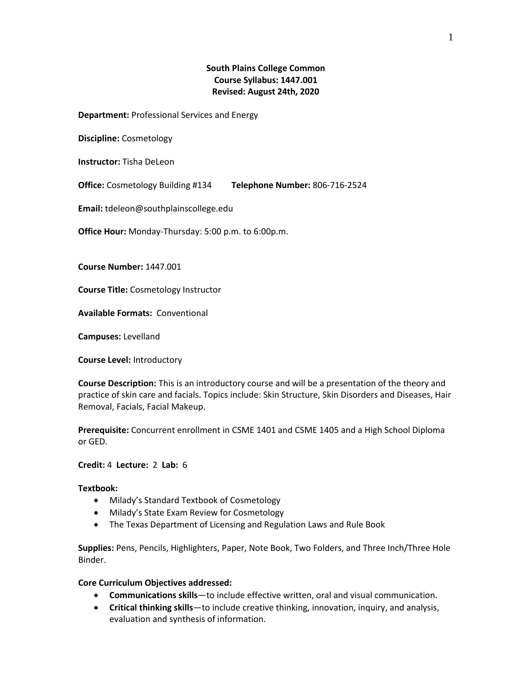# **South Plains College Common Course Syllabus: 1447.001 Revised: August 24th, 2020**

**Department:** Professional Services and Energy

**Discipline:** Cosmetology

**Instructor:** Tisha DeLeon

**Telephone Number:** 806-716-2524 **Office:** Cosmetology Building #134

**Email:** tdeleon@southplainscollege.edu

**Office Hour:** Monday-Thursday: 5:00 p.m. to 6:00p.m.

**Course Number:** 1447.001

**Course Title:** Cosmetology Instructor

**Available Formats:** Conventional

**Campuses:** Levelland

**Course Level:** Introductory

**Course Description:** This is an introductory course and will be a presentation of the theory and practice of skin care and facials. Topics include: Skin Structure, Skin Disorders and Diseases, Hair Removal, Facials, Facial Makeup.

**Prerequisite:** Concurrent enrollment in CSME 1401 and CSME 1405 and a High School Diploma or GED.

## **Credit:** 4 **Lecture:** 2 **Lab:** 6

#### **Textbook:**

- Milady's Standard Textbook of Cosmetology
- Milady's State Exam Review for Cosmetology
- The Texas Department of Licensing and Regulation Laws and Rule Book

**Supplies:** Pens, Pencils, Highlighters, Paper, Note Book, Two Folders, and Three Inch/Three Hole Binder.

### **Core Curriculum Objectives addressed:**

- **Communications skills**—to include effective written, oral and visual communication.
- **Critical thinking skills**—to include creative thinking, innovation, inquiry, and analysis, evaluation and synthesis of information.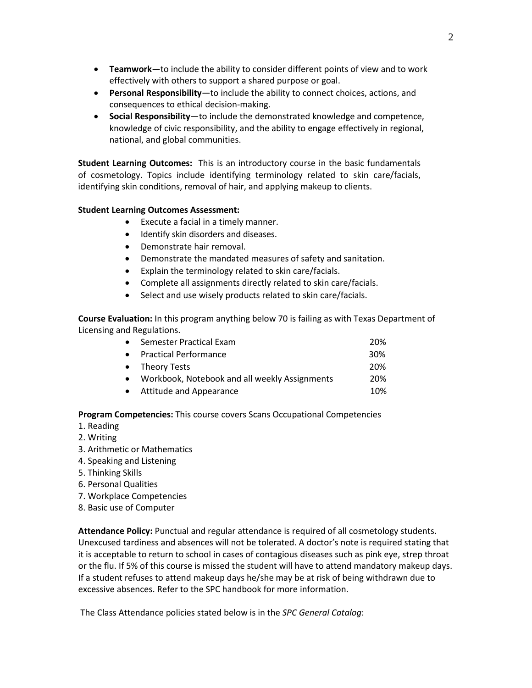- **Teamwork**—to include the ability to consider different points of view and to work effectively with others to support a shared purpose or goal.
- **Personal Responsibility**—to include the ability to connect choices, actions, and consequences to ethical decision-making.
- **Social Responsibility**—to include the demonstrated knowledge and competence, knowledge of civic responsibility, and the ability to engage effectively in regional, national, and global communities.

**Student Learning Outcomes:** This is an introductory course in the basic fundamentals of cosmetology. Topics include identifying terminology related to skin care/facials, identifying skin conditions, removal of hair, and applying makeup to clients.

## **Student Learning Outcomes Assessment:**

- Execute a facial in a timely manner.
- Identify skin disorders and diseases.
- Demonstrate hair removal.
- Demonstrate the mandated measures of safety and sanitation.
- Explain the terminology related to skin care/facials.
- Complete all assignments directly related to skin care/facials.
- Select and use wisely products related to skin care/facials.

**Course Evaluation:** In this program anything below 70 is failing as with Texas Department of Licensing and Regulations.

| • Semester Practical Exam                       | 20% |
|-------------------------------------------------|-----|
| • Practical Performance                         | 30% |
| • Theory Tests                                  | 20% |
| • Workbook, Notebook and all weekly Assignments | 20% |
| • Attitude and Appearance                       | 10% |

**Program Competencies:** This course covers Scans Occupational Competencies

### 1. Reading

- 2. Writing
- 3. Arithmetic or Mathematics
- 4. Speaking and Listening
- 5. Thinking Skills
- 6. Personal Qualities
- 7. Workplace Competencies
- 8. Basic use of Computer

**Attendance Policy:** Punctual and regular attendance is required of all cosmetology students. Unexcused tardiness and absences will not be tolerated. A doctor's note is required stating that it is acceptable to return to school in cases of contagious diseases such as pink eye, strep throat or the flu. If 5% of this course is missed the student will have to attend mandatory makeup days. If a student refuses to attend makeup days he/she may be at risk of being withdrawn due to excessive absences. Refer to the SPC handbook for more information.

The Class Attendance policies stated below is in the *SPC General Catalog*: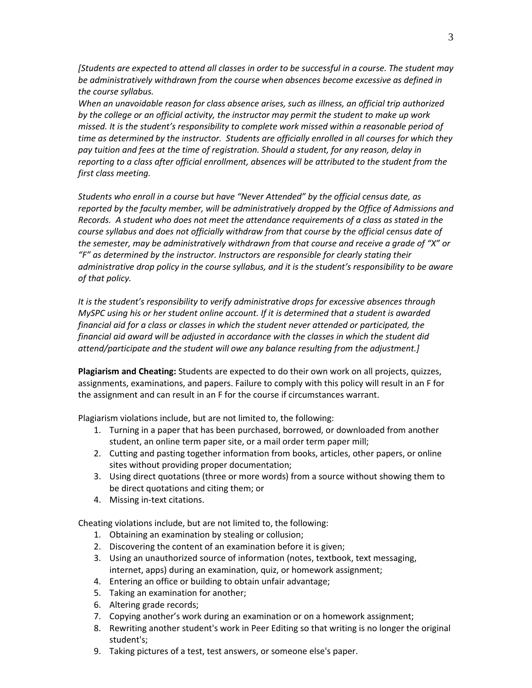*[Students are expected to attend all classes in order to be successful in a course. The student may be administratively withdrawn from the course when absences become excessive as defined in the course syllabus.*

*When an unavoidable reason for class absence arises, such as illness, an official trip authorized by the college or an official activity, the instructor may permit the student to make up work missed. It is the student's responsibility to complete work missed within a reasonable period of time as determined by the instructor. Students are officially enrolled in all courses for which they pay tuition and fees at the time of registration. Should a student, for any reason, delay in reporting to a class after official enrollment, absences will be attributed to the student from the first class meeting.*

*Students who enroll in a course but have "Never Attended" by the official census date, as reported by the faculty member, will be administratively dropped by the Office of Admissions and Records. A student who does not meet the attendance requirements of a class as stated in the course syllabus and does not officially withdraw from that course by the official census date of the semester, may be administratively withdrawn from that course and receive a grade of "X" or "F" as determined by the instructor. Instructors are responsible for clearly stating their administrative drop policy in the course syllabus, and it is the student's responsibility to be aware of that policy.* 

*It is the student's responsibility to verify administrative drops for excessive absences through MySPC using his or her student online account. If it is determined that a student is awarded financial aid for a class or classes in which the student never attended or participated, the financial aid award will be adjusted in accordance with the classes in which the student did attend/participate and the student will owe any balance resulting from the adjustment.]* 

**Plagiarism and Cheating:** Students are expected to do their own work on all projects, quizzes, assignments, examinations, and papers. Failure to comply with this policy will result in an F for the assignment and can result in an F for the course if circumstances warrant.

Plagiarism violations include, but are not limited to, the following:

- 1. Turning in a paper that has been purchased, borrowed, or downloaded from another student, an online term paper site, or a mail order term paper mill;
- 2. Cutting and pasting together information from books, articles, other papers, or online sites without providing proper documentation;
- 3. Using direct quotations (three or more words) from a source without showing them to be direct quotations and citing them; or
- 4. Missing in-text citations.

Cheating violations include, but are not limited to, the following:

- 1. Obtaining an examination by stealing or collusion;
- 2. Discovering the content of an examination before it is given;
- 3. Using an unauthorized source of information (notes, textbook, text messaging, internet, apps) during an examination, quiz, or homework assignment;
- 4. Entering an office or building to obtain unfair advantage;
- 5. Taking an examination for another;
- 6. Altering grade records;
- 7. Copying another's work during an examination or on a homework assignment;
- 8. Rewriting another student's work in Peer Editing so that writing is no longer the original student's;
- 9. Taking pictures of a test, test answers, or someone else's paper.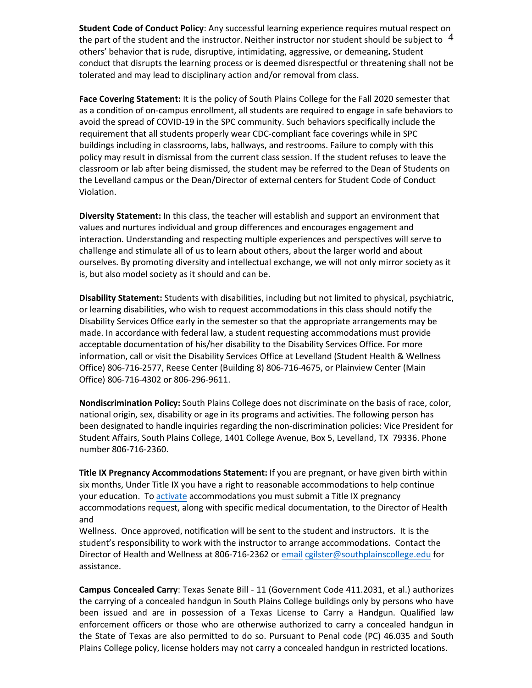the part of the student and the instructor. Neither instructor nor student should be subject to  $\ ^4$ **Student Code of Conduct Policy**: Any successful learning experience requires mutual respect on others' behavior that is rude, disruptive, intimidating, aggressive, or demeaning**.** Student conduct that disrupts the learning process or is deemed disrespectful or threatening shall not be tolerated and may lead to disciplinary action and/or removal from class.

**Face Covering Statement:** It is the policy of South Plains College for the Fall 2020 semester that as a condition of on-campus enrollment, all students are required to engage in safe behaviors to avoid the spread of COVID-19 in the SPC community. Such behaviors specifically include the requirement that all students properly wear CDC-compliant face coverings while in SPC buildings including in classrooms, labs, hallways, and restrooms. Failure to comply with this policy may result in dismissal from the current class session. If the student refuses to leave the classroom or lab after being dismissed, the student may be referred to the Dean of Students on the Levelland campus or the Dean/Director of external centers for Student Code of Conduct Violation.

**Diversity Statement:** In this class, the teacher will establish and support an environment that values and nurtures individual and group differences and encourages engagement and interaction. Understanding and respecting multiple experiences and perspectives will serve to challenge and stimulate all of us to learn about others, about the larger world and about ourselves. By promoting diversity and intellectual exchange, we will not only mirror society as it is, but also model society as it should and can be.

**Disability Statement:** Students with disabilities, including but not limited to physical, psychiatric, or learning disabilities, who wish to request accommodations in this class should notify the Disability Services Office early in the semester so that the appropriate arrangements may be made. In accordance with federal law, a student requesting accommodations must provide acceptable documentation of his/her disability to the Disability Services Office. For more information, call or visit the Disability Services Office at Levelland (Student Health & Wellness Office) 806-716-2577, Reese Center (Building 8) 806-716-4675, or Plainview Center (Main Office) 806-716-4302 or 806-296-9611.

**Nondiscrimination Policy:** South Plains College does not discriminate on the basis of race, color, national origin, sex, disability or age in its programs and activities. The following person has been designated to handle inquiries regarding the non-discrimination policies: Vice President for Student Affairs, South Plains College, 1401 College Avenue, Box 5, Levelland, TX 79336. Phone number 806-716-2360.

**Title IX Pregnancy Accommodations Statement:** If you are pregnant, or have given birth within six months, Under Title IX you have a right to reasonable accommodations to help continue your education. To [activate](http://www.southplainscollege.edu/employees/manualshandbooks/facultyhandbook/sec4.php) accommodations you must submit a Title IX pregnancy accommodations request, along with specific medical documentation, to the Director of Health and

Wellness. Once approved, notification will be sent to the student and instructors. It is the student's responsibility to work with the instructor to arrange accommodations. Contact the Director of Health and Wellness at 806-716-2362 or [email](http://www.southplainscollege.edu/employees/manualshandbooks/facultyhandbook/sec4.php) [cgilster@southplainscollege.edu](mailto:cgilster@southplainscollege.edu) for assistance.

**Campus Concealed Carry**: Texas Senate Bill - 11 (Government Code 411.2031, et al.) authorizes the carrying of a concealed handgun in South Plains College buildings only by persons who have been issued and are in possession of a Texas License to Carry a Handgun. Qualified law enforcement officers or those who are otherwise authorized to carry a concealed handgun in the State of Texas are also permitted to do so. Pursuant to Penal code (PC) 46.035 and South Plains College policy, license holders may not carry a concealed handgun in restricted locations.